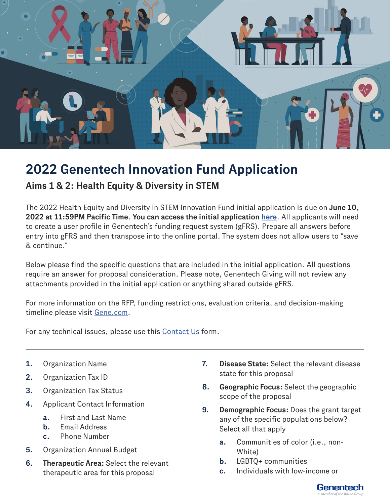

## **2022 Genentech Innovation Fund Application**

**Aims 1 & 2: Health Equity & Diversity in STEM**

The 2022 Health Equity and Diversity in STEM Innovation Fund initial application is due on **June 10, 2022 at 11:59PM Pacific Time**. **You can access the initial application [here](https://cdcciam.gene.com/?_ga=2.235906951.744888538.1649696741-1509606708.1643400535)**. All applicants will need to create a user profile in Genentech's funding request system (gFRS). Prepare all answers before entry into gFRS and then transpose into the online portal. The system does not allow users to "save & continue."

Below please find the specific questions that are included in the initial application. All questions require an answer for proposal consideration. Please note, Genentech Giving will not review any attachments provided in the initial application or anything shared outside gFRS.

For more information on the RFP, funding restrictions, evaluation criteria, and decision-making timeline please visit [Gene.com.](http://Gene.com)

For any technical issues, please use this [Contact Us](https://www.gene.com/good/giving/corporate-giving/contact-us) form.

- **1.** Organization Name
- **2.** Organization Tax ID
- **3.** Organization Tax Status
- **4.** Applicant Contact Information
	- **a.** First and Last Name
	- **b.** Email Address
	- **c.** Phone Number
- **5.** Organization Annual Budget
- **6. Therapeutic Area:** Select the relevant therapeutic area for this proposal
- **7. Disease State:** Select the relevant disease state for this proposal
- **8. Geographic Focus:** Select the geographic scope of the proposal
- **9. Demographic Focus:** Does the grant target any of the specific populations below? Select all that apply
	- **a.** Communities of color (i.e., non-White)
	- **b.** LGBTQ+ communities
	- **c.** Individuals with low-income or